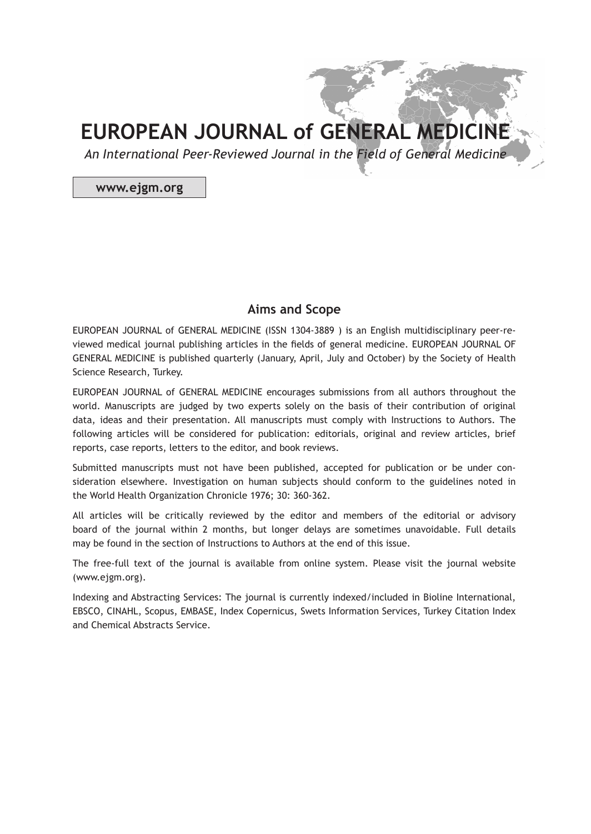*An International Peer-Reviewed Journal in the Field of General Medicine*

**www.ejgm.org**

## **Aims and Scope**

EUROPEAN JOURNAL of GENERAL MEDICINE (ISSN 1304-3889 ) is an English multidisciplinary peer-reviewed medical journal publishing articles in the fields of general medicine. EUROPEAN JOURNAL OF GENERAL MEDICINE is published quarterly (January, April, July and October) by the Society of Health Science Research, Turkey.

EUROPEAN JOURNAL of GENERAL MEDICINE encourages submissions from all authors throughout the world. Manuscripts are judged by two experts solely on the basis of their contribution of original data, ideas and their presentation. All manuscripts must comply with Instructions to Authors. The following articles will be considered for publication: editorials, original and review articles, brief reports, case reports, letters to the editor, and book reviews.

Submitted manuscripts must not have been published, accepted for publication or be under consideration elsewhere. Investigation on human subjects should conform to the guidelines noted in the World Health Organization Chronicle 1976; 30: 360-362.

All articles will be critically reviewed by the editor and members of the editorial or advisory board of the journal within 2 months, but longer delays are sometimes unavoidable. Full details may be found in the section of Instructions to Authors at the end of this issue.

The free-full text of the journal is available from online system. Please visit the journal website (www.ejgm.org).

Indexing and Abstracting Services: The journal is currently indexed/included in Bioline International, EBSCO, CINAHL, Scopus, EMBASE, Index Copernicus, Swets Information Services, Turkey Citation Index and Chemical Abstracts Service.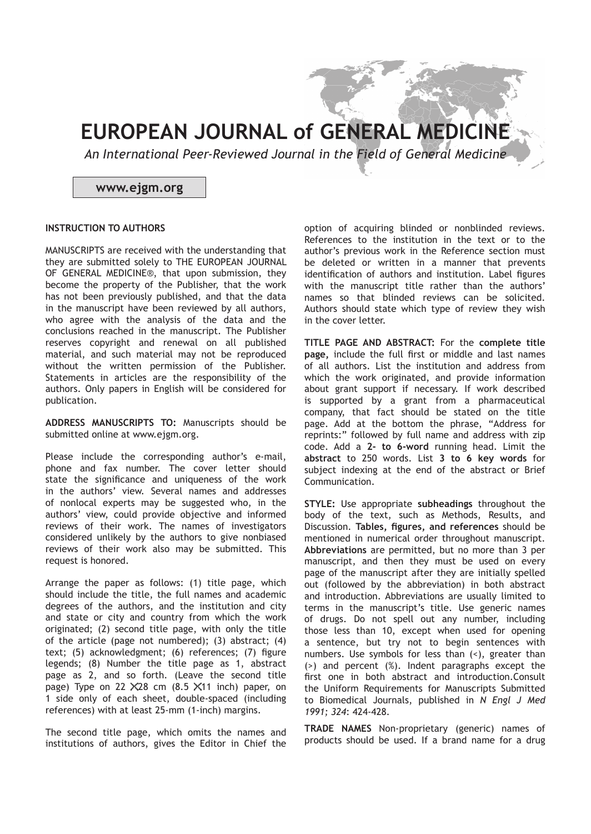*An International Peer-Reviewed Journal in the Field of General Medicine*

### **www.ejgm.org**

#### **INSTRUCTION TO AUTHORS**

MANUSCRIPTS are received with the understanding that they are submitted solely to THE EUROPEAN JOURNAL OF GENERAL MEDICINE®, that upon submission, they become the property of the Publisher, that the work has not been previously published, and that the data in the manuscript have been reviewed by all authors, who agree with the analysis of the data and the conclusions reached in the manuscript. The Publisher reserves copyright and renewal on all published material, and such material may not be reproduced without the written permission of the Publisher. Statements in articles are the responsibility of the authors. Only papers in English will be considered for publication.

**ADDRESS MANUSCRIPTS TO:** Manuscripts should be submitted online at www.ejgm.org.

Please include the corresponding author's e-mail, phone and fax number. The cover letter should state the significance and uniqueness of the work in the authors' view. Several names and addresses of nonlocal experts may be suggested who, in the authors' view, could provide objective and informed reviews of their work. The names of investigators considered unlikely by the authors to give nonbiased reviews of their work also may be submitted. This request is honored.

Arrange the paper as follows: (1) title page, which should include the title, the full names and academic degrees of the authors, and the institution and city and state or city and country from which the work originated; (2) second title page, with only the title of the article (page not numbered); (3) abstract; (4) text; (5) acknowledgment; (6) references; (7) figure legends; (8) Number the title page as 1, abstract page as 2, and so forth. (Leave the second title page) Type on 22  $X28$  cm  $(8.5 \times 11)$  inch) paper, on 1 side only of each sheet, double-spaced (including references) with at least 25-mm (1-inch) margins.

The second title page, which omits the names and institutions of authors, gives the Editor in Chief the

option of acquiring blinded or nonblinded reviews. References to the institution in the text or to the author's previous work in the Reference section must be deleted or written in a manner that prevents identification of authors and institution. Label figures with the manuscript title rather than the authors' names so that blinded reviews can be solicited. Authors should state which type of review they wish in the cover letter.

**TITLE PAGE AND ABSTRACT:** For the **complete title page,** include the full first or middle and last names of all authors. List the institution and address from which the work originated, and provide information about grant support if necessary. If work described is supported by a grant from a pharmaceutical company, that fact should be stated on the title page. Add at the bottom the phrase, "Address for reprints:" followed by full name and address with zip code. Add a **2- to 6-word** running head. Limit the **abstract** to 250 words. List **3 to 6 key words** for subject indexing at the end of the abstract or Brief Communication.

**STYLE:** Use appropriate **subheadings** throughout the body of the text, such as Methods, Results, and Discussion. **Tables, figures, and references** should be mentioned in numerical order throughout manuscript. **Abbreviations** are permitted, but no more than 3 per manuscript, and then they must be used on every page of the manuscript after they are initially spelled out (followed by the abbreviation) in both abstract and introduction. Abbreviations are usually limited to terms in the manuscript's title. Use generic names of drugs. Do not spell out any number, including those less than 10, except when used for opening a sentence, but try not to begin sentences with numbers. Use symbols for less than (<), greater than (>) and percent (%). Indent paragraphs except the first one in both abstract and introduction.Consult the Uniform Requirements for Manuscripts Submitted to Biomedical Journals, published in *N Engl J Med 1991; 324*: 424-428.

**TRADE NAMES** Non-proprietary (generic) names of products should be used. If a brand name for a drug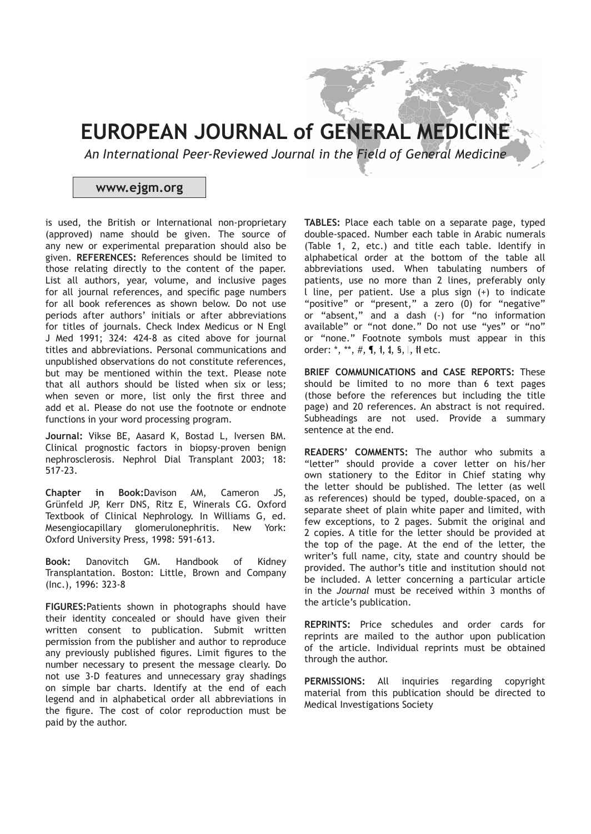*An International Peer-Reviewed Journal in the Field of General Medicine*

## **www.ejgm.org**

is used, the British or International non-proprietary (approved) name should be given. The source of any new or experimental preparation should also be given. **REFERENCES:** References should be limited to those relating directly to the content of the paper. List all authors, year, volume, and inclusive pages for all journal references, and specific page numbers for all book references as shown below. Do not use periods after authors' initials or after abbreviations for titles of journals. Check Index Medicus or N Engl J Med 1991; 324: 424-8 as cited above for journal titles and abbreviations. Personal communications and unpublished observations do not constitute references, but may be mentioned within the text. Please note that all authors should be listed when six or less; when seven or more, list only the first three and add et al. Please do not use the footnote or endnote functions in your word processing program.

**Journal:** Vikse BE, Aasard K, Bostad L, Iversen BM. Clinical prognostic factors in biopsy-proven benign nephrosclerosis. Nephrol Dial Transplant 2003; 18: 517-23.

**Chapter in Book:**Davison AM, Cameron JS, Grünfeld JP, Kerr DNS, Ritz E, Winerals CG. Oxford Textbook of Clinical Nephrology. In Williams G, ed. Mesengiocapillary glomerulonephritis. New York: Oxford University Press, 1998: 591-613.

**Book:** Danovitch GM. Handbook of Kidney Transplantation. Boston: Little, Brown and Company (Inc.), 1996: 323-8

**FIGURES:**Patients shown in photographs should have their identity concealed or should have given their written consent to publication. Submit written permission from the publisher and author to reproduce any previously published figures. Limit figures to the number necessary to present the message clearly. Do not use 3-D features and unnecessary gray shadings on simple bar charts. Identify at the end of each legend and in alphabetical order all abbreviations in the figure. The cost of color reproduction must be paid by the author.

**TABLES:** Place each table on a separate page, typed double-spaced. Number each table in Arabic numerals (Table 1, 2, etc.) and title each table. Identify in alphabetical order at the bottom of the table all abbreviations used. When tabulating numbers of patients, use no more than 2 lines, preferably only l line, per patient. Use a plus sign (+) to indicate "positive" or "present," a zero (0) for "negative" or "absent," and a dash (-) for "no information available" or "not done." Do not use "yes" or "no" or "none." Footnote symbols must appear in this order: \*, \*\*,  $#$ ,  $\P$ ,  $\dagger$ ,  $\dagger$ ,  $S$ ,  $\parallel$ ,  $\parallel$  etc.

**BRIEF COMMUNICATIONS and CASE REPORTS:** These should be limited to no more than 6 text pages (those before the references but including the title page) and 20 references. An abstract is not required. Subheadings are not used. Provide a summary sentence at the end.

**READERS' COMMENTS:** The author who submits a "letter" should provide a cover letter on his/her own stationery to the Editor in Chief stating why the letter should be published. The letter (as well as references) should be typed, double-spaced, on a separate sheet of plain white paper and limited, with few exceptions, to 2 pages. Submit the original and 2 copies. A title for the letter should be provided at the top of the page. At the end of the letter, the writer's full name, city, state and country should be provided. The author's title and institution should not be included. A letter concerning a particular article in the *Journal* must be received within 3 months of the article's publication.

**REPRINTS:** Price schedules and order cards for reprints are mailed to the author upon publication of the article. Individual reprints must be obtained through the author.

**PERMISSIONS:** All inquiries regarding copyright material from this publication should be directed to Medical Investigations Society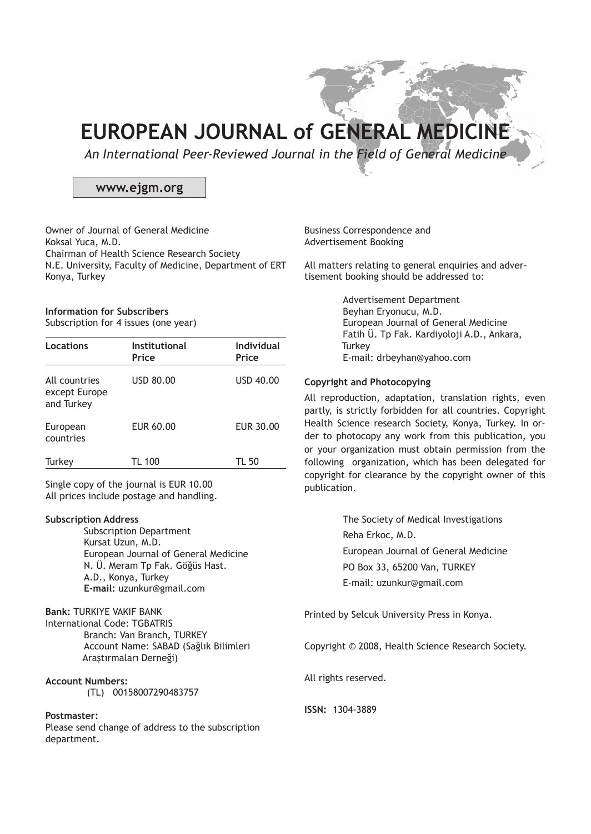*An International Peer-Reviewed Journal in the Field of General Medicine*

## **www.ejgm.org**

Owner of Journal of General Medicine Koksal Yuca, M.D. Chairman of Health Science Research Society N.E. University, Faculty of Medicine, Department of ERT Konya, Turkey

#### **Information for Subscribers** Subscription for 4 issues (one year)

| Locations                                    | Institutional<br>Price | <b>Individual</b><br>Price |
|----------------------------------------------|------------------------|----------------------------|
| All countries<br>except Europe<br>and Turkey | USD 80.00              | USD 40.00                  |
| European<br>countries                        | EUR 60.00              | EUR 30.00                  |
| Turkey                                       | <b>TL 100</b>          | TL 50                      |

Single copy of the journal is EUR 10.00 All prices include postage and handling.

#### **Subscription Address**

Subscription Department Kursat Uzun, M.D. European Journal of General Medicine N. Ü. Meram Tp Fak. Göğüs Hast. A.D., Konya, Turkey **E-mail:** uzunkur@gmail.com

## **Bank:** TURKIYE VAKIF BANK

International Code: TGBATRIS Branch: Van Branch, TURKEY Account Name: SABAD (Sağlık Bilimleri Araştırmaları Derneği)

**Account Numbers:** 

(TL) 00158007290483757

## **Postmaster:**

Please send change of address to the subscription department.

Business Correspondence and Advertisement Booking

All matters relating to general enquiries and advertisement booking should be addressed to:

> Advertisement Department Beyhan Eryonucu, M.D. European Journal of General Medicine Fatih Ü. Tp Fak. Kardiyoloji A.D., Ankara, **Turkey** E-mail: drbeyhan@yahoo.com

#### **Copyright and Photocopying**

All reproduction, adaptation, translation rights, even partly, is strictly forbidden for all countries. Copyright Health Science research Society, Konya, Turkey. In order to photocopy any work from this publication, you or your organization must obtain permission from the following organization, which has been delegated for copyright for clearance by the copyright owner of this publication.

> The Society of Medical Investigations Reha Erkoc, M.D. European Journal of General Medicine PO Box 33, 65200 Van, TURKEY E-mail: uzunkur@gmail.com

Printed by Selcuk University Press in Konya.

Copyright © 2008, Health Science Research Society.

All rights reserved.

**ISSN:** 1304-3889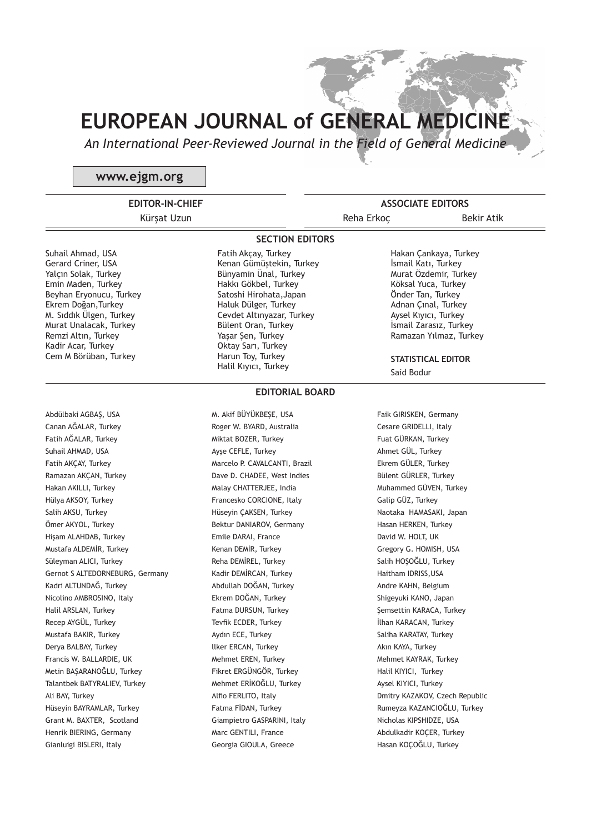*An International Peer-Reviewed Journal in the Field of General Medicine*

**SECTION EDITORS**

## **www.ejgm.org**

**EDITOR-IN-CHIEF** Kürşat Uzun

**ASSOCIATE EDITORS** Reha Erkoc Bekir Atik

Suhail Ahmad, USA Gerard Criner, USA Yalçın Solak, Turkey Emin Maden, Turkey Beyhan Eryonucu, Turkey Ekrem Doğan,Turkey M. Sıddık Ülgen, Turkey Murat Unalacak, Turkey Remzi Altın, Turkey Kadir Acar, Turkey Cem M Börüban, Turkey

Abdülbaki AGBAŞ, USA Canan AĞALAR, Turkey Fatih AĞALAR, Turkey Suhail AHMAD, USA Fatih AKÇAY, Turkey Ramazan AKÇAN, Turkey Hakan AKILLI, Turkey Hülya AKSOY, Turkey Salih AKSU, Turkey Ömer AKYOL, Turkey Hişam ALAHDAB, Turkey Mustafa ALDEMİR, Turkey Süleyman ALICI, Turkey Gernot S ALTEDORNEBURG, Germany Kadri ALTUNDAĞ, Turkey Nicolino AMBROSINO, Italy Halil ARSLAN, Turkey Recep AYGÜL, Turkey Mustafa BAKIR, Turkey Derya BALBAY, Turkey Francis W. BALLARDIE, UK Metin BAŞARANOĞLU, Turkey Talantbek BATYRALIEV, Turkey Ali BAY, Turkey Hüseyin BAYRAMLAR, Turkey Grant M. BAXTER, Scotland Henrik BIERING, Germany Gianluigi BISLERI, Italy

Fatih Akçay, Turkey Kenan Gümüştekin, Turkey Bünyamin Ünal, Turkey Hakkı Gökbel, Turkey Satoshi Hirohata,Japan Haluk Dülger, Turkey Cevdet Altınyazar, Turkey Bülent Oran, Turkey Yasar Sen, Turkey Oktay Sarı, Turkey Harun Toy, Turkey Halil Kıyıcı, Turkey

**EDITORIAL BOARD**

M. Akif BÜYÜKBEŞE, USA Roger W. BYARD, Australia Miktat BOZER, Turkey Ayşe CEFLE, Turkey Marcelo P. CAVALCANTI, Brazil Dave D. CHADEE, West Indies Malay CHATTERJEE, India Francesko CORCIONE, Italy Hüseyin ÇAKSEN, Turkey Bektur DANIAROV, Germany Emile DARAI, France Kenan DEMİR, Turkey Reha DEMİREL, Turkey Kadir DEMİRCAN, Turkey Abdullah DOĞAN, Turkey Ekrem DOĞAN, Turkey Fatma DURSUN, Turkey Tevfik ECDER, Turkey Aydın ECE, Turkey llker ERCAN, Turkey Mehmet EREN, Turkey Fikret ERGÜNGÖR, Turkey Mehmet ERİKOĞLU, Turkey Alfio FERLITO, Italy Fatma FİDAN, Turkey Giampietro GASPARINI, Italy Marc GENTILI, France Georgia GIOULA, Greece

Hakan Çankaya, Turkey İsmail Katı, Turkey Murat Özdemir, Turkey Köksal Yuca, Turkey Önder Tan, Turkey Adnan Çınal, Turkey Aysel Kıyıcı, Turkey İsmail Zarasız, Turkey Ramazan Yılmaz, Turkey

**STATISTICAL EDITOR** Said Bodur

Faik GIRISKEN, Germany Cesare GRIDELLI, Italy Fuat GÜRKAN, Turkey Ahmet GÜL, Turkey Ekrem GÜLER, Turkey Bülent GÜRLER, Turkey Muhammed GÜVEN, Turkey Galip GÜZ, Turkey Naotaka HAMASAKI, Japan Hasan HERKEN, Turkey David W. HOLT, UK Gregory G. HOMISH, USA Salih HOŞOĞLU, Turkey Haitham IDRISS,USA Andre KAHN, Belgium Shigeyuki KANO, Japan Şemsettin KARACA, Turkey İlhan KARACAN, Turkey Saliha KARATAY, Turkey Akın KAYA, Turkey Mehmet KAYRAK, Turkey Halil KIYICI, Turkey Aysel KIYICI, Turkey Dmitry KAZAKOV, Czech Republic Rumeyza KAZANCIOĞLU, Turkey Nicholas KIPSHIDZE, USA Abdulkadir KOÇER, Turkey Hasan KOÇOĞLU, Turkey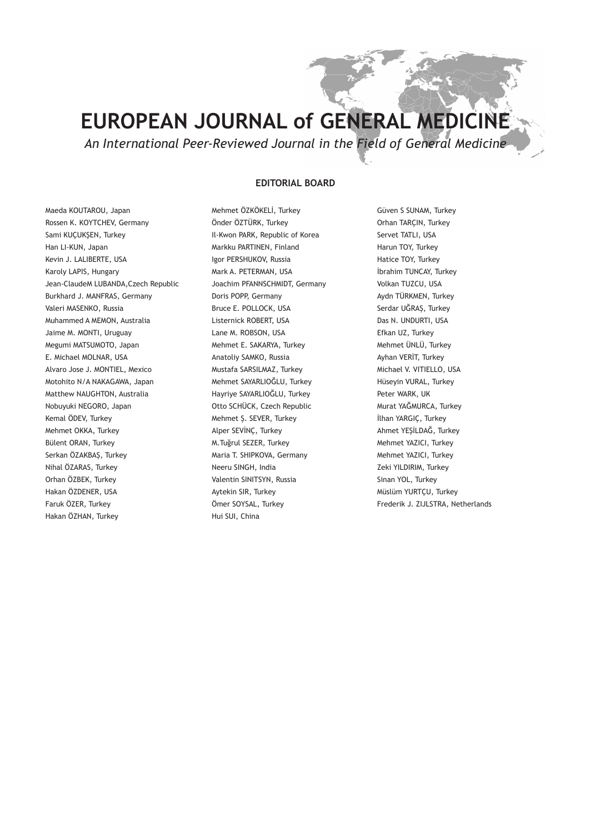*An International Peer-Reviewed Journal in the Field of General Medicine*

#### **EDITORIAL BOARD**

Maeda KOUTAROU, Japan Rossen K. KOYTCHEV, Germany Sami KUÇUKŞEN, Turkey Han LI-KUN, Japan Kevin J. LALIBERTE, USA Karoly LAPIS, Hungary Jean-ClaudeM LUBANDA,Czech Republic Burkhard J. MANFRAS, Germany Valeri MASENKO, Russia Muhammed A MEMON, Australia Jaime M. MONTI, Uruguay Megumi MATSUMOTO, Japan E. Michael MOLNAR, USA Alvaro Jose J. MONTIEL, Mexico Motohito N/A NAKAGAWA, Japan Matthew NAUGHTON, Australia Nobuyuki NEGORO, Japan Kemal ÖDEV, Turkey Mehmet OKKA, Turkey Bülent ORAN, Turkey Serkan ÖZAKBAŞ, Turkey Nihal ÖZARAS, Turkey Orhan ÖZBEK, Turkey Hakan ÖZDENER, USA Faruk ÖZER, Turkey Hakan ÖZHAN, Turkey

Mehmet ÖZKÖKELİ, Turkey Önder ÖZTÜRK, Turkey Il-Kwon PARK, Republic of Korea Markku PARTINEN, Finland Igor PERSHUKOV, Russia Mark A. PETERMAN, USA Joachim PFANNSCHMIDT, Germany Doris POPP, Germany Bruce E. POLLOCK, USA Listernick ROBERT, USA Lane M. ROBSON, USA Mehmet E. SAKARYA, Turkey Anatoliy SAMKO, Russia Mustafa SARSILMAZ, Turkey Mehmet SAYARLIOĞLU, Turkey Hayriye SAYARLIOĞLU, Turkey Otto SCHÜCK, Czech Republic Mehmet Ş. SEVER, Turkey Alper SEVİNÇ, Turkey M.Tuğrul SEZER, Turkey Maria T. SHIPKOVA, Germany Neeru SINGH, India Valentin SINITSYN, Russia Aytekin SIR, Turkey Ömer SOYSAL, Turkey Hui SUI, China

Güven S SUNAM, Turkey Orhan TARÇIN, Turkey Servet TATLI, USA Harun TOY, Turkey Hatice TOY, Turkey İbrahim TUNCAY, Turkey Volkan TUZCU, USA Aydn TÜRKMEN, Turkey Serdar UĞRAŞ, Turkey Das N. UNDURTI, USA Efkan UZ, Turkey Mehmet ÜNLÜ, Turkey Ayhan VERİT, Turkey Michael V. VITIELLO, USA Hüseyin VURAL, Turkey Peter WARK, UK Murat YAĞMURCA, Turkey İlhan YARGIÇ, Turkey Ahmet YEŞİLDAĞ, Turkey Mehmet YAZICI, Turkey Mehmet YAZICI, Turkey Zeki YILDIRIM, Turkey Sinan YOL, Turkey Müslüm YURTÇU, Turkey Frederik J. ZIJLSTRA, Netherlands